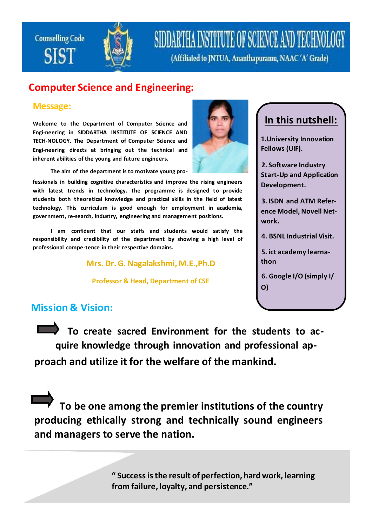**Counselling Code SIST** 



## SIDDARTHA INSTITUTE OF SCIENCE AND TECHNOI

(Affiliated to JNTUA, Ananthapuramu, NAAC'A' Grade)

#### **Computer Science and Engineering:**

#### **Message:**

**Welcome to the Department of Computer Science and Engi-neering in SIDDARTHA INSTITUTE OF SCIENCE AND TECH-NOLOGY. The Department of Computer Science and Engi-neering directs at bringing out the technical and inherent abilities of the young and future engineers.**

**The aim of the department is to motivate young pro-**

**fessionals in building cognitive characteristics and improve the rising engineers with latest trends in technology. The programme is designed to provide students both theoretical knowledge and practical skills in the field of latest technology. This curriculum is good enough for employment in academia, government, re-search, industry, engineering and management positions.**

**I am confident that our staffs and students would satisfy the responsibility and credibility of the department by showing a high level of professional compe-tence in their respective domains.**

**Mrs. Dr. G. Nagalakshmi, M.E.,Ph.D**

**Professor & Head, Department of CSE**



## **In this nutshell:**

**1.University Innovation Fellows (UIF).**

**2. Software Industry Start-Up and Application Development.**

**3. ISDN and ATM Reference Model, Novell Network.**

**4. BSNL Industrial Visit.**

**5. ict academy learnathon**

**6. Google I/O (simply I/ O)**

#### **Mission & Vision:**

**To create sacred Environment for the students to acquire knowledge through innovation and professional approach and utilize it for the welfare of the mankind.**

**To be one among the premier institutions of the country producing ethically strong and technically sound engineers and managers to serve the nation.**

> **" Success is the result of perfection, hard work, learning from failure, loyalty, and persistence."**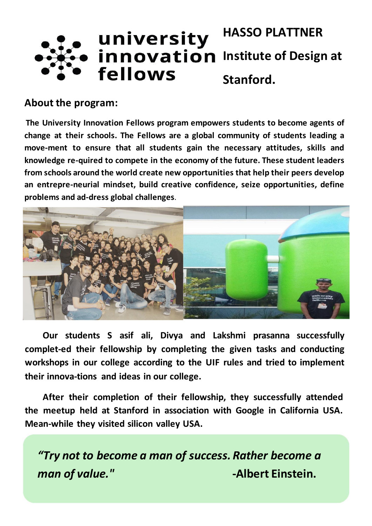#### **HASSO PLATTNER** university innovation **Institute of Design at** fellows **Stanford.**

#### **About the program:**

**The University Innovation Fellows program empowers students to become agents of change at their schools. The Fellows are a global community of students leading a move-ment to ensure that all students gain the necessary attitudes, skills and knowledge re-quired to compete in the economy of the future. These student leaders from schools around the world create new opportunities that help their peers develop an entrepre-neurial mindset, build creative confidence, seize opportunities, define problems and ad-dress global challenges.**



**Our students S asif ali, Divya and Lakshmi prasanna successfully complet-ed their fellowship by completing the given tasks and conducting workshops in our college according to the UIF rules and tried to implement their innova-tions and ideas in our college.**

**After their completion of their fellowship, they successfully attended the meetup held at Stanford in association with Google in California USA. Mean-while they visited silicon valley USA.**

*"Try not to become a man of success. Rather become a man of value." CONDER CONDER CONDER CONDER CONDER CONDER CONDER CONDER CONDER CONDER CONDER CONDER CONDER CONDER CONDER CONDER CONDER CONDER CONDER CONDER CONDER CONDER CONDER CONDER CONDER CONDER CONDER CONDER CONDE*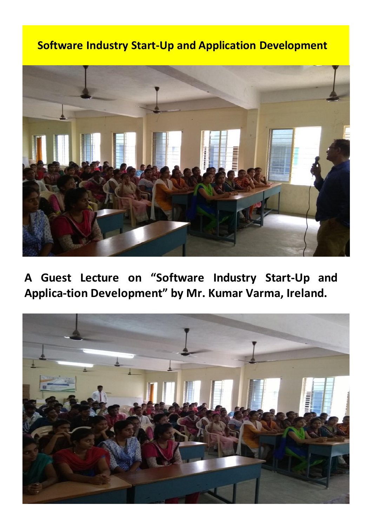### **Software Industry Start-Up and Application Development**



**A Guest Lecture on "Software Industry Start-Up and Applica-tion Development" by Mr. Kumar Varma, Ireland.**

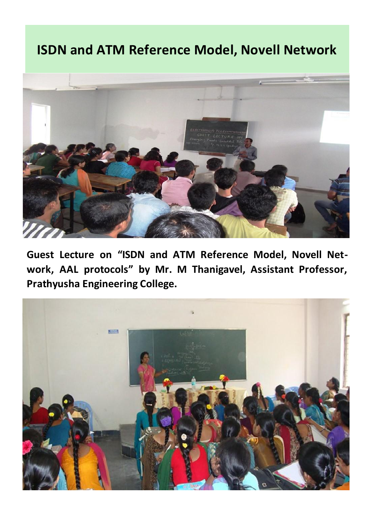## **ISDN and ATM Reference Model, Novell Network**



**Guest Lecture on "ISDN and ATM Reference Model, Novell Network, AAL protocols" by Mr. M Thanigavel, Assistant Professor, Prathyusha Engineering College.**

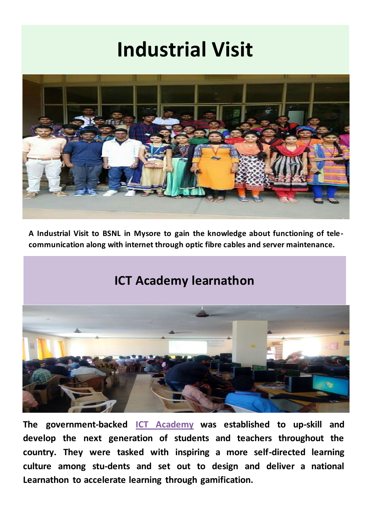# **Industrial Visit**



**A Industrial Visit to BSNL in Mysore to gain the knowledge about functioning of telecommunication along with internet through optic fibre cables and server maintenance.**

### **ICT Academy learnathon**



**The government-backed [ICT Academy](http://www.ictacademy.in/pages/Aboutus.aspx) was established to up-skill and develop the next generation of students and teachers throughout the country. They were tasked with inspiring a more self-directed learning culture among stu-dents and set out to design and deliver a national Learnathon to accelerate learning through gamification.**